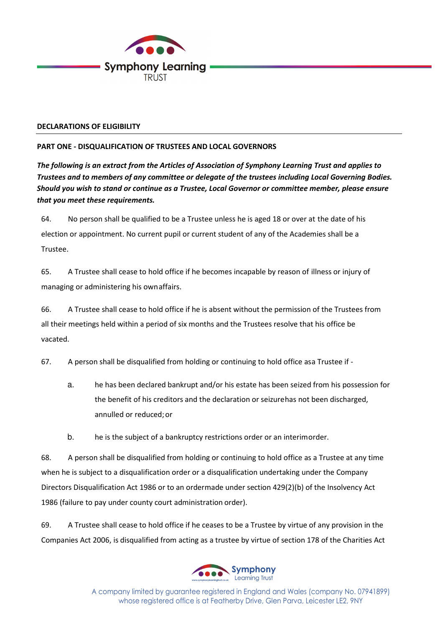

## **DECLARATIONS OF ELIGIBILITY**

# **PART ONE - DISQUALIFICATION OF TRUSTEES AND LOCAL GOVERNORS**

*The following is an extract from the Articles of Association of Symphony Learning Trust and applies to Trustees and to members of any committee or delegate of the trustees including Local Governing Bodies. Should you wish to stand or continue as a Trustee, Local Governor or committee member, please ensure that you meet these requirements.* 

64. No person shall be qualified to be a Trustee unless he is aged 18 or over at the date of his election or appointment. No current pupil or current student of any of the Academies shall be a Trustee.

65. A Trustee shall cease to hold office if he becomes incapable by reason of illness or injury of managing or administering his own affairs.

66. A Trustee shall cease to hold office if he is absent without the permission of the Trustees from all their meetings held within a period of six months and the Trustees resolve that his office be vacated.

67. A person shall be disqualified from holding or continuing to hold office asa Trustee if -

- a. he has been declared bankrupt and/or his estate has been seized from his possession for the benefit of his creditors and the declaration or seizure has not been discharged, annulled or reduced; or
- b. he is the subject of a bankruptcy restrictions order or an interim order.

68. A person shall be disqualified from holding or continuing to hold office as a Trustee at any time when he is subject to a disqualification order or a disqualification undertaking under the Company Directors Disqualification Act 1986 or to an order made under section 429(2)(b) of the Insolvency Act 1986 (failure to pay under county court administration order).

69. A Trustee shall cease to hold office if he ceases to be a Trustee by virtue of any provision in the Companies Act 2006, is disqualified from acting as a trustee by virtue of section 178 of the Charities Act



A company limited by guarantee registered in England and Wales (company No. 07941899) whose registered office is at Featherby Drive, Glen Parva, Leicester LE2, 9NY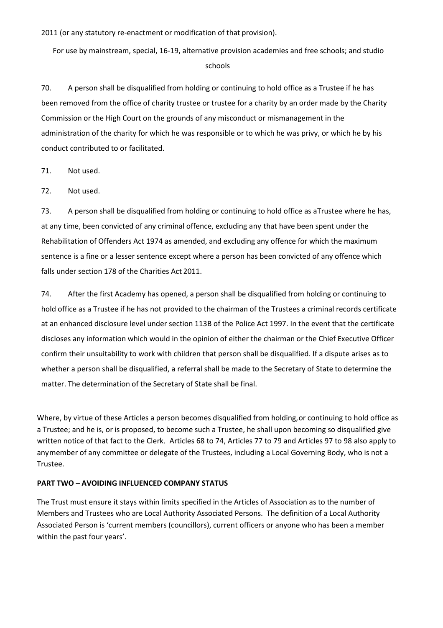2011 (or any statutory re-enactment or modification of that provision).

For use by mainstream, special, 16-19, alternative provision academies and free schools; and studio schools

70. A person shall be disqualified from holding or continuing to hold office as a Trustee if he has been removed from the office of charity trustee or trustee for a charity by an order made by the Charity Commission or the High Court on the grounds of any misconduct or mismanagement in the administration of the charity for which he was responsible or to which he was privy, or which he by his conduct contributed to or facilitated.

71. Not used.

72. Not used.

73. A person shall be disqualified from holding or continuing to hold office as a Trustee where he has, at any time, been convicted of any criminal offence, excluding any that have been spent under the Rehabilitation of Offenders Act 1974 as amended, and excluding any offence for which the maximum sentence is a fine or a lesser sentence except where a person has been convicted of any offence which falls under section 178 of the Charities Act 2011.

74. After the first Academy has opened, a person shall be disqualified from holding or continuing to hold office as a Trustee if he has not provided to the chairman of the Trustees a criminal records certificate at an enhanced disclosure level under section 113B of the Police Act 1997. In the event that the certificate discloses any information which would in the opinion of either the chairman or the Chief Executive Officer confirm their unsuitability to work with children that person shall be disqualified. If a dispute arises as to whether a person shall be disqualified, a referral shall be made to the Secretary of State to determine the matter. The determination of the Secretary of State shall be final.

Where, by virtue of these Articles a person becomes disqualified from holding, or continuing to hold office as a Trustee; and he is, or is proposed, to become such a Trustee, he shall upon becoming so disqualified give written notice of that fact to the Clerk. Articles 68 to 74, Articles 77 to 79 and Articles 97 to 98 also apply to any member of any committee or delegate of the Trustees, including a Local Governing Body, who is not a Trustee.

#### **PART TWO – AVOIDING INFLUENCED COMPANY STATUS**

The Trust must ensure it stays within limits specified in the Articles of Association as to the number of Members and Trustees who are Local Authority Associated Persons. The definition of a Local Authority Associated Person is 'current members (councillors), current officers or anyone who has been a member within the past four years'.